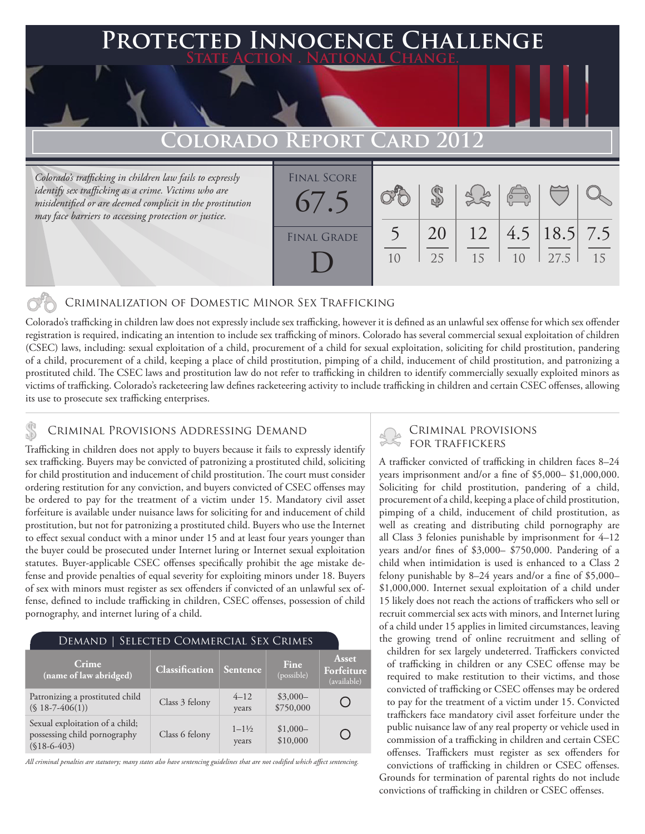## **PED INNOCENCE CHALLENGE State Action . National Change.**

# Colorado Repoi

*Colorado's trafficking in children law fails to expressly identify sex trafficking as a crime. Victims who are misidentified or are deemed complicit in the prostitution may face barriers to accessing protection or justice.*

| <b>FINAL SCORE</b><br>6/0.5 |          |          | $\begin{pmatrix} 0 & 0 \\ 0 & 0 \end{pmatrix}$ |                          |    |
|-----------------------------|----------|----------|------------------------------------------------|--------------------------|----|
| <b>FINAL GRADE</b>          | 20<br>25 | 12<br>15 | 1 <sub>0</sub>                                 | 4.5   18.5   7.5<br>27.5 | 15 |

### Criminalization of Domestic Minor Sex Trafficking

Colorado's trafficking in children law does not expressly include sex trafficking, however it is defined as an unlawful sex offense for which sex offender registration is required, indicating an intention to include sex trafficking of minors. Colorado has several commercial sexual exploitation of children (CSEC) laws, including: sexual exploitation of a child, procurement of a child for sexual exploitation, soliciting for child prostitution, pandering of a child, procurement of a child, keeping a place of child prostitution, pimping of a child, inducement of child prostitution, and patronizing a prostituted child. The CSEC laws and prostitution law do not refer to trafficking in children to identify commercially sexually exploited minors as victims of trafficking. Colorado's racketeering law defines racketeering activity to include trafficking in children and certain CSEC offenses, allowing its use to prosecute sex trafficking enterprises.

# CRIMINAL PROVISIONS ADDRESSING DEMAND<br>Trafficking in children does not annly to hurge because it foils to gyprosoly identify

Trafficking in children does not apply to buyers because it fails to expressly identify sex trafficking. Buyers may be convicted of patronizing a prostituted child, soliciting for child prostitution and inducement of child prostitution. The court must consider ordering restitution for any conviction, and buyers convicted of CSEC offenses may be ordered to pay for the treatment of a victim under 15. Mandatory civil asset forfeiture is available under nuisance laws for soliciting for and inducement of child prostitution, but not for patronizing a prostituted child. Buyers who use the Internet to effect sexual conduct with a minor under 15 and at least four years younger than the buyer could be prosecuted under Internet luring or Internet sexual exploitation statutes. Buyer-applicable CSEC offenses specifically prohibit the age mistake defense and provide penalties of equal severity for exploiting minors under 18. Buyers of sex with minors must register as sex offenders if convicted of an unlawful sex offense, defined to include trafficking in children, CSEC offenses, possession of child pornography, and internet luring of a child.

| DEMAND   SELECTED COMMERCIAL SEX CRIMES                                          |                       |                             |                        |                                           |  |  |  |  |
|----------------------------------------------------------------------------------|-----------------------|-----------------------------|------------------------|-------------------------------------------|--|--|--|--|
| Crime<br>(name of law abridged)                                                  | <b>Classification</b> | <b>Sentence</b>             | Fine<br>(possible)     | <b>Asset</b><br>Forfeiture<br>(available) |  |  |  |  |
| Patronizing a prostituted child<br>$(S 18 - 7 - 406(1))$                         | Class 3 felony        | $4 - 12$<br>years           | $$3,000-$<br>\$750,000 |                                           |  |  |  |  |
| Sexual exploitation of a child;<br>possessing child pornography<br>$($18-6-403)$ | Class 6 felony        | $1 - 1\frac{1}{2}$<br>years | $$1,000-$<br>\$10,000  |                                           |  |  |  |  |

*All criminal penalties are statutory; many states also have sentencing guidelines that are not codified which affect sentencing.* 

A trafficker convicted of trafficking in children faces 8–24 years imprisonment and/or a fine of \$5,000– \$1,000,000. Soliciting for child prostitution, pandering of a child, procurement of a child, keeping a place of child prostitution, pimping of a child, inducement of child prostitution, as well as creating and distributing child pornography are all Class 3 felonies punishable by imprisonment for 4–12 years and/or fines of \$3,000– \$750,000. Pandering of a child when intimidation is used is enhanced to a Class 2 felony punishable by 8–24 years and/or a fine of \$5,000– \$1,000,000. Internet sexual exploitation of a child under 15 likely does not reach the actions of traffickers who sell or recruit commercial sex acts with minors, and Internet luring of a child under 15 applies in limited circumstances, leaving the growing trend of online recruitment and selling of

children for sex largely undeterred. Traffickers convicted of trafficking in children or any CSEC offense may be required to make restitution to their victims, and those convicted of trafficking or CSEC offenses may be ordered to pay for the treatment of a victim under 15. Convicted traffickers face mandatory civil asset forfeiture under the public nuisance law of any real property or vehicle used in commission of a trafficking in children and certain CSEC offenses. Traffickers must register as sex offenders for convictions of trafficking in children or CSEC offenses.

Grounds for termination of parental rights do not include convictions of trafficking in children or CSEC offenses.